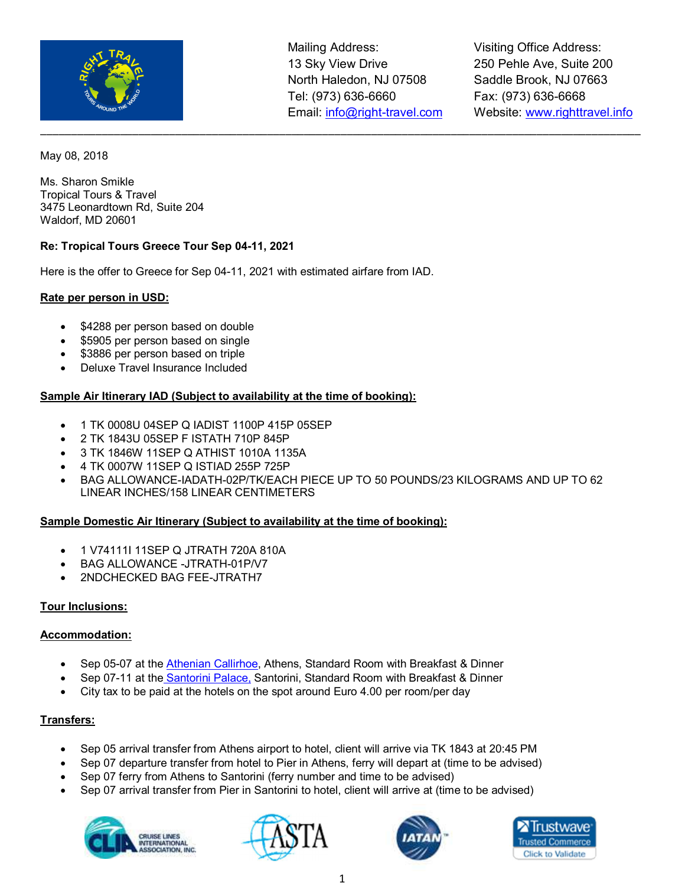

Visiting Office Address: 250 Pehle Ave, Suite 200 Saddle Brook, NJ 07663 Fax: (973) 636-6668 Website: www.righttravel.info

May 08, 2018

Ms. Sharon Smikle Tropical Tours & Travel 3475 Leonardtown Rd, Suite 204 Waldorf, MD 20601

### **Re: Tropical Tours Greece Tour Sep 04-11, 2021**

Here is the offer to Greece for Sep 04-11, 2021 with estimated airfare from IAD.

#### **Rate per person in USD:**

- \$4288 per person based on double
- \$5905 per person based on single
- \$3886 per person based on triple
- Deluxe Travel Insurance Included

#### **Sample Air Itinerary IAD (Subject to availability at the time of booking):**

- 1 TK 0008U 04SEP Q IADIST 1100P 415P 05SEP
- 2 TK 1843U 05SEP F ISTATH 710P 845P
- 3 TK 1846W 11SEP Q ATHIST 1010A 1135A
- 4 TK 0007W 11SEP Q ISTIAD 255P 725P
- BAG ALLOWANCE-IADATH-02P/TK/EACH PIECE UP TO 50 POUNDS/23 KILOGRAMS AND UP TO 62 LINEAR INCHES/158 LINEAR CENTIMETERS

#### **Sample Domestic Air Itinerary (Subject to availability at the time of booking):**

- 1 V74111I 11SEP Q JTRATH 720A 810A
- BAG ALLOWANCE -JTRATH-01P/V7
- 2NDCHECKED BAG FEE-JTRATH7

#### **Tour Inclusions:**

#### **Accommodation:**

- Sep 05-07 at the Athenian Callirhoe, Athens, Standard Room with Breakfast & Dinner
- Sep 07-11 at the Santorini Palace, Santorini, Standard Room with Breakfast & Dinner
- City tax to be paid at the hotels on the spot around Euro 4.00 per room/per day

### **Transfers:**

- Sep 05 arrival transfer from Athens airport to hotel, client will arrive via TK 1843 at 20:45 PM
- Sep 07 departure transfer from hotel to Pier in Athens, ferry will depart at (time to be advised)
- Sep 07 ferry from Athens to Santorini (ferry number and time to be advised)
- Sep 07 arrival transfer from Pier in Santorini to hotel, client will arrive at (time to be advised)







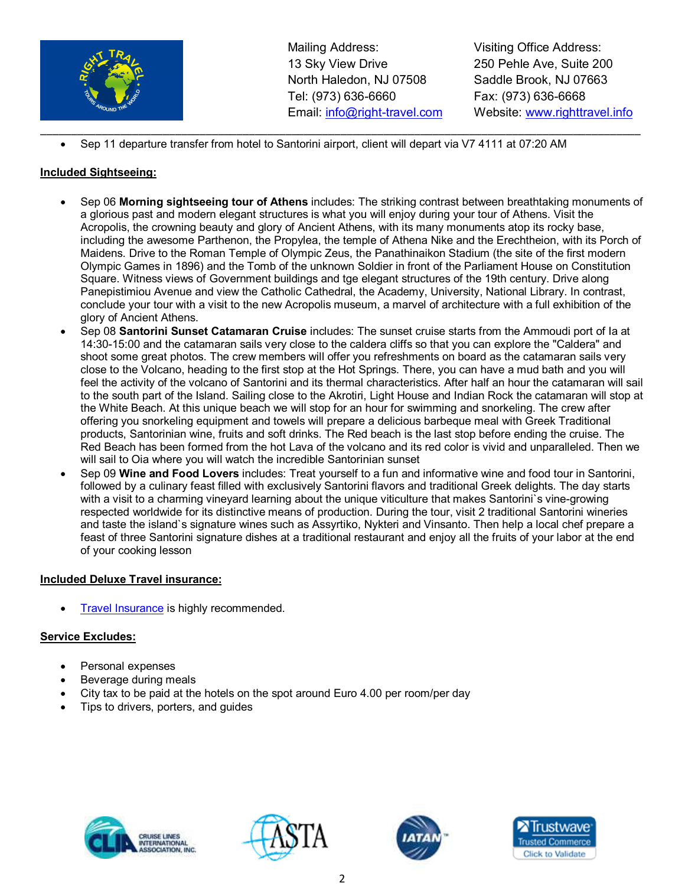

Visiting Office Address: 250 Pehle Ave, Suite 200 Saddle Brook, NJ 07663 Fax: (973) 636-6668 Website: www.righttravel.info

• Sep 11 departure transfer from hotel to Santorini airport, client will depart via V7 4111 at 07:20 AM

# **Included Sightseeing:**

- Sep 06 **Morning sightseeing tour of Athens** includes: The striking contrast between breathtaking monuments of a glorious past and modern elegant structures is what you will enjoy during your tour of Athens. Visit the Acropolis, the crowning beauty and glory of Ancient Athens, with its many monuments atop its rocky base, including the awesome Parthenon, the Propylea, the temple of Athena Nike and the Erechtheion, with its Porch of Maidens. Drive to the Roman Temple of Olympic Zeus, the Panathinaikon Stadium (the site of the first modern Olympic Games in 1896) and the Tomb of the unknown Soldier in front of the Parliament House on Constitution Square. Witness views of Government buildings and tge elegant structures of the 19th century. Drive along Panepistimiou Avenue and view the Catholic Cathedral, the Academy, University, National Library. In contrast, conclude your tour with a visit to the new Acropolis museum, a marvel of architecture with a full exhibition of the glory of Ancient Athens.
- Sep 08 **Santorini Sunset Catamaran Cruise** includes: The sunset cruise starts from the Ammoudi port of Ia at 14:30-15:00 and the catamaran sails very close to the caldera cliffs so that you can explore the "Caldera" and shoot some great photos. The crew members will offer you refreshments on board as the catamaran sails very close to the Volcano, heading to the first stop at the Hot Springs. There, you can have a mud bath and you will feel the activity of the volcano of Santorini and its thermal characteristics. After half an hour the catamaran will sail to the south part of the Island. Sailing close to the Akrotiri, Light House and Indian Rock the catamaran will stop at the White Beach. At this unique beach we will stop for an hour for swimming and snorkeling. The crew after offering you snorkeling equipment and towels will prepare a delicious barbeque meal with Greek Traditional products, Santorinian wine, fruits and soft drinks. The Red beach is the last stop before ending the cruise. The Red Beach has been formed from the hot Lava of the volcano and its red color is vivid and unparalleled. Then we will sail to Oia where you will watch the incredible Santorinian sunset
- Sep 09 **Wine and Food Lovers** includes: Treat yourself to a fun and informative wine and food tour in Santorini, followed by a culinary feast filled with exclusively Santorini flavors and traditional Greek delights. The day starts with a visit to a charming vineyard learning about the unique viticulture that makes Santorini`s vine-growing respected worldwide for its distinctive means of production. During the tour, visit 2 traditional Santorini wineries and taste the island`s signature wines such as Assyrtiko, Nykteri and Vinsanto. Then help a local chef prepare a feast of three Santorini signature dishes at a traditional restaurant and enjoy all the fruits of your labor at the end of your cooking lesson

## **Included Deluxe Travel insurance:**

**Travel Insurance is highly recommended.** 

# **Service Excludes:**

- Personal expenses
- Beverage during meals
- City tax to be paid at the hotels on the spot around Euro 4.00 per room/per day
- Tips to drivers, porters, and guides







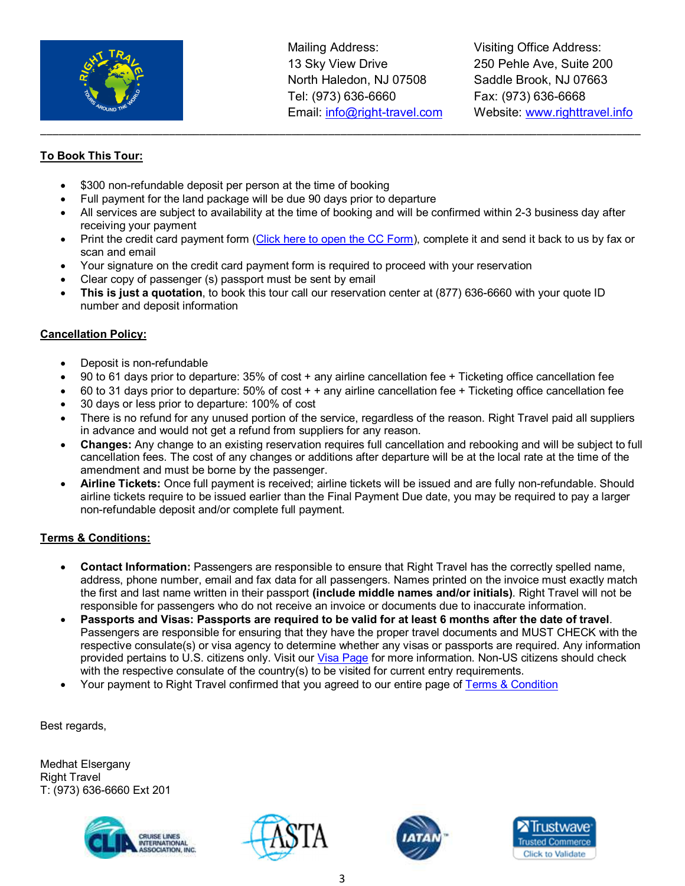

Visiting Office Address: 250 Pehle Ave, Suite 200 Saddle Brook, NJ 07663 Fax: (973) 636-6668 Website: www.righttravel.info

# **To Book This Tour:**

- \$300 non-refundable deposit per person at the time of booking
- Full payment for the land package will be due 90 days prior to departure
- All services are subject to availability at the time of booking and will be confirmed within 2-3 business day after receiving your payment

\_\_\_\_\_\_\_\_\_\_\_\_\_\_\_\_\_\_\_\_\_\_\_\_\_\_\_\_\_\_\_\_\_\_\_\_\_\_\_\_\_\_\_\_\_\_\_\_\_\_\_\_\_\_\_\_\_\_\_\_\_\_\_\_\_\_\_\_\_\_\_\_\_\_\_\_\_\_\_\_\_\_\_\_\_\_\_\_\_\_\_\_\_\_\_\_\_\_

- Print the credit card payment form (Click here to open the CC Form), complete it and send it back to us by fax or scan and email
- Your signature on the credit card payment form is required to proceed with your reservation
- Clear copy of passenger (s) passport must be sent by email
- **This is just a quotation**, to book this tour call our reservation center at (877) 636-6660 with your quote ID number and deposit information

# **Cancellation Policy:**

- Deposit is non-refundable
- 90 to 61 days prior to departure: 35% of cost + any airline cancellation fee + Ticketing office cancellation fee
- 60 to 31 days prior to departure: 50% of cost + + any airline cancellation fee + Ticketing office cancellation fee
- 30 days or less prior to departure: 100% of cost
- There is no refund for any unused portion of the service, regardless of the reason. Right Travel paid all suppliers in advance and would not get a refund from suppliers for any reason.
- **Changes:** Any change to an existing reservation requires full cancellation and rebooking and will be subject to full cancellation fees. The cost of any changes or additions after departure will be at the local rate at the time of the amendment and must be borne by the passenger.
- **Airline Tickets:** Once full payment is received; airline tickets will be issued and are fully non-refundable. Should airline tickets require to be issued earlier than the Final Payment Due date, you may be required to pay a larger non-refundable deposit and/or complete full payment.

# **Terms & Conditions:**

- **Contact Information:** Passengers are responsible to ensure that Right Travel has the correctly spelled name, address, phone number, email and fax data for all passengers. Names printed on the invoice must exactly match the first and last name written in their passport **(include middle names and/or initials)**. Right Travel will not be responsible for passengers who do not receive an invoice or documents due to inaccurate information.
- **Passports and Visas: Passports are required to be valid for at least 6 months after the date of travel**. Passengers are responsible for ensuring that they have the proper travel documents and MUST CHECK with the respective consulate(s) or visa agency to determine whether any visas or passports are required. Any information provided pertains to U.S. citizens only. Visit our Visa Page for more information. Non-US citizens should check with the respective consulate of the country(s) to be visited for current entry requirements.
- Your payment to Right Travel confirmed that you agreed to our entire page of Terms & Condition

Best regards,

Medhat Elsergany Right Travel T: (973) 636-6660 Ext 201







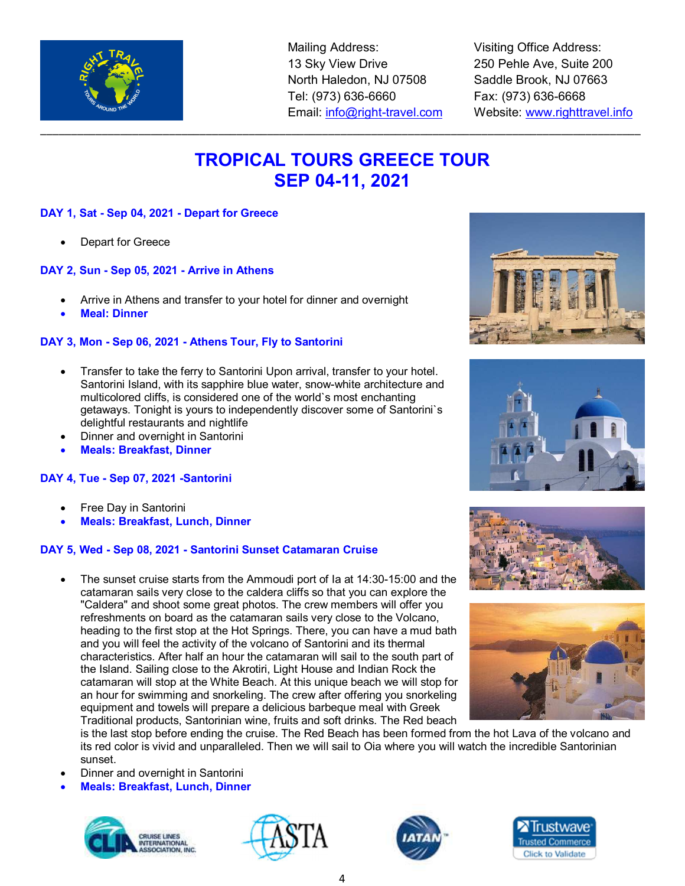

Visiting Office Address: 250 Pehle Ave, Suite 200 Saddle Brook, NJ 07663 Fax: (973) 636-6668 Website: www.righttravel.info

# **TROPICAL TOURS GREECE TOUR SEP 04-11, 2021**

\_\_\_\_\_\_\_\_\_\_\_\_\_\_\_\_\_\_\_\_\_\_\_\_\_\_\_\_\_\_\_\_\_\_\_\_\_\_\_\_\_\_\_\_\_\_\_\_\_\_\_\_\_\_\_\_\_\_\_\_\_\_\_\_\_\_\_\_\_\_\_\_\_\_\_\_\_\_\_\_\_\_\_\_\_\_\_\_\_\_\_\_\_\_\_\_\_\_

## **DAY 1, Sat - Sep 04, 2021 - Depart for Greece**

Depart for Greece

### **DAY 2, Sun - Sep 05, 2021 - Arrive in Athens**

- Arrive in Athens and transfer to your hotel for dinner and overnight
- **Meal: Dinner**

### **DAY 3, Mon - Sep 06, 2021 - Athens Tour, Fly to Santorini**

- Transfer to take the ferry to Santorini Upon arrival, transfer to your hotel. Santorini Island, with its sapphire blue water, snow-white architecture and multicolored cliffs, is considered one of the world`s most enchanting getaways. Tonight is yours to independently discover some of Santorini`s delightful restaurants and nightlife
- Dinner and overnight in Santorini
- **Meals: Breakfast, Dinner**

### **DAY 4, Tue - Sep 07, 2021 -Santorini**

- Free Day in Santorini
- **Meals: Breakfast, Lunch, Dinner**

### **DAY 5, Wed - Sep 08, 2021 - Santorini Sunset Catamaran Cruise**

• The sunset cruise starts from the Ammoudi port of Ia at 14:30-15:00 and the catamaran sails very close to the caldera cliffs so that you can explore the "Caldera" and shoot some great photos. The crew members will offer you refreshments on board as the catamaran sails very close to the Volcano, heading to the first stop at the Hot Springs. There, you can have a mud bath and you will feel the activity of the volcano of Santorini and its thermal characteristics. After half an hour the catamaran will sail to the south part of the Island. Sailing close to the Akrotiri, Light House and Indian Rock the catamaran will stop at the White Beach. At this unique beach we will stop for an hour for swimming and snorkeling. The crew after offering you snorkeling equipment and towels will prepare a delicious barbeque meal with Greek Traditional products, Santorinian wine, fruits and soft drinks. The Red beach

is the last stop before ending the cruise. The Red Beach has been formed from the hot Lava of the volcano and its red color is vivid and unparalleled. Then we will sail to Oia where you will watch the incredible Santorinian sunset.

- Dinner and overnight in Santorini
- **Meals: Breakfast, Lunch, Dinner**















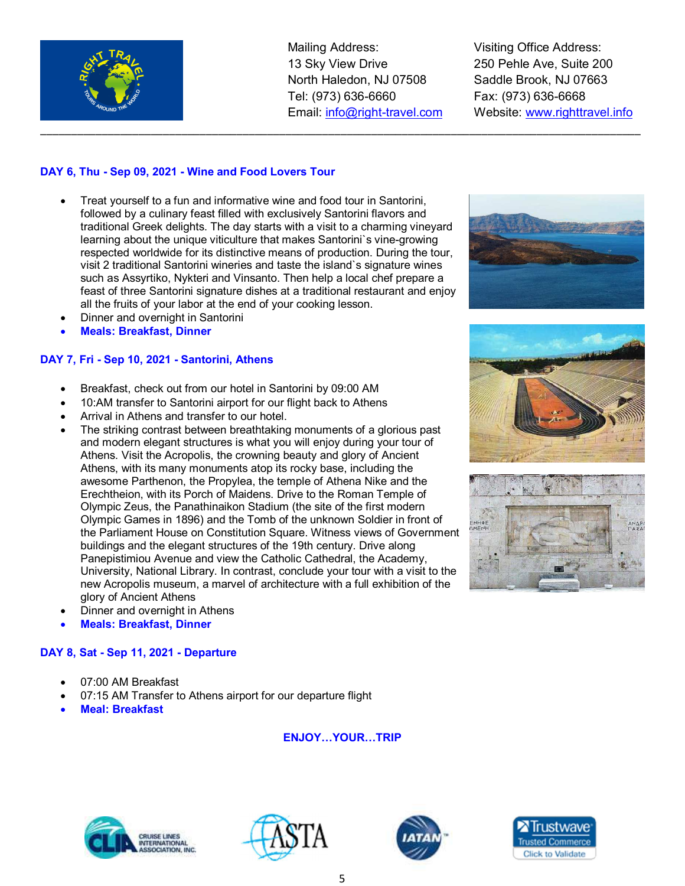

\_\_\_\_\_\_\_\_\_\_\_\_\_\_\_\_\_\_\_\_\_\_\_\_\_\_\_\_\_\_\_\_\_\_\_\_\_\_\_\_\_\_\_\_\_\_\_\_\_\_\_\_\_\_\_\_\_\_\_\_\_\_\_\_\_\_\_\_\_\_\_\_\_\_\_\_\_\_\_\_\_\_\_\_\_\_\_\_\_\_\_\_\_\_\_\_\_\_

Visiting Office Address: 250 Pehle Ave, Suite 200 Saddle Brook, NJ 07663 Fax: (973) 636-6668 Website: www.righttravel.info

## **DAY 6, Thu - Sep 09, 2021 - Wine and Food Lovers Tour**

- Treat yourself to a fun and informative wine and food tour in Santorini, followed by a culinary feast filled with exclusively Santorini flavors and traditional Greek delights. The day starts with a visit to a charming vineyard learning about the unique viticulture that makes Santorini`s vine-growing respected worldwide for its distinctive means of production. During the tour, visit 2 traditional Santorini wineries and taste the island`s signature wines such as Assyrtiko, Nykteri and Vinsanto. Then help a local chef prepare a feast of three Santorini signature dishes at a traditional restaurant and enjoy all the fruits of your labor at the end of your cooking lesson.
- Dinner and overnight in Santorini
- **Meals: Breakfast, Dinner**

## **DAY 7, Fri - Sep 10, 2021 - Santorini, Athens**

- Breakfast, check out from our hotel in Santorini by 09:00 AM
- 10:AM transfer to Santorini airport for our flight back to Athens
- Arrival in Athens and transfer to our hotel.
- The striking contrast between breathtaking monuments of a glorious past and modern elegant structures is what you will enjoy during your tour of Athens. Visit the Acropolis, the crowning beauty and glory of Ancient Athens, with its many monuments atop its rocky base, including the awesome Parthenon, the Propylea, the temple of Athena Nike and the Erechtheion, with its Porch of Maidens. Drive to the Roman Temple of Olympic Zeus, the Panathinaikon Stadium (the site of the first modern Olympic Games in 1896) and the Tomb of the unknown Soldier in front of the Parliament House on Constitution Square. Witness views of Government buildings and the elegant structures of the 19th century. Drive along Panepistimiou Avenue and view the Catholic Cathedral, the Academy, University, National Library. In contrast, conclude your tour with a visit to the new Acropolis museum, a marvel of architecture with a full exhibition of the glory of Ancient Athens
- Dinner and overnight in Athens
- **Meals: Breakfast, Dinner**

### **DAY 8, Sat - Sep 11, 2021 - Departure**

- 07:00 AM Breakfast
- 07:15 AM Transfer to Athens airport for our departure flight
- **Meal: Breakfast**

## **ENJOY...YOUR...TRIP**